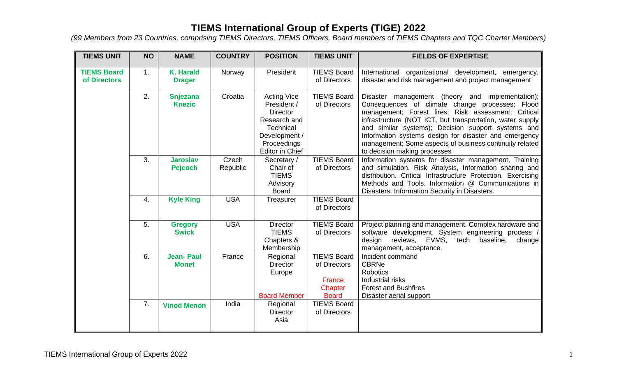| <b>TIEMS UNIT</b>                  | <b>NO</b> | <b>NAME</b>                       | <b>COUNTRY</b>    | <b>POSITION</b>                                                                                                                      | <b>TIEMS UNIT</b>                                                       | <b>FIELDS OF EXPERTISE</b>                                                                                                                                                                                                                                                                                                                                                                                                        |
|------------------------------------|-----------|-----------------------------------|-------------------|--------------------------------------------------------------------------------------------------------------------------------------|-------------------------------------------------------------------------|-----------------------------------------------------------------------------------------------------------------------------------------------------------------------------------------------------------------------------------------------------------------------------------------------------------------------------------------------------------------------------------------------------------------------------------|
| <b>TIEMS Board</b><br>of Directors | 1.        | <b>K. Harald</b><br><b>Drager</b> | Norway            | President                                                                                                                            | <b>TIEMS Board</b><br>of Directors                                      | International organizational development, emergency,<br>disaster and risk management and project management                                                                                                                                                                                                                                                                                                                       |
|                                    | 2.        | <b>Snjezana</b><br><b>Knezic</b>  | Croatia           | <b>Acting Vice</b><br>President /<br><b>Director</b><br>Research and<br>Technical<br>Development /<br>Proceedings<br>Editor in Chief | <b>TIEMS Board</b><br>of Directors                                      | Disaster management (theory and implementation);<br>Consequences of climate change processes; Flood<br>management; Forest fires; Risk assessment; Critical<br>infrastructure (NOT ICT, but transportation, water supply<br>and similar systems); Decision support systems and<br>Information systems design for disaster and emergency<br>management; Some aspects of business continuity related<br>to decision making processes |
|                                    | 3.        | <b>Jaroslav</b><br><b>Pejcoch</b> | Czech<br>Republic | Secretary /<br>Chair of<br><b>TIEMS</b><br>Advisory<br><b>Board</b>                                                                  | <b>TIEMS Board</b><br>of Directors                                      | Information systems for disaster management, Training<br>and simulation. Risk Analysis, Information sharing and<br>distribution. Critical Infrastructure Protection. Exercising<br>Methods and Tools. Information @ Communications in<br>Disasters. Information Security in Disasters.                                                                                                                                            |
|                                    | 4.        | <b>Kyle King</b>                  | <b>USA</b>        | Treasurer                                                                                                                            | <b>TIEMS Board</b><br>of Directors                                      |                                                                                                                                                                                                                                                                                                                                                                                                                                   |
|                                    | 5.        | <b>Gregory</b><br><b>Swick</b>    | <b>USA</b>        | <b>Director</b><br><b>TIEMS</b><br>Chapters &<br>Membership                                                                          | <b>TIEMS Board</b><br>of Directors                                      | Project planning and management. Complex hardware and<br>software development. System engineering process<br>design<br>reviews, EVMS,<br>tech<br>baseline,<br>change<br>management, acceptance.                                                                                                                                                                                                                                   |
|                                    | 6.        | <b>Jean-Paul</b><br><b>Monet</b>  | France            | Regional<br><b>Director</b><br>Europe<br><b>Board Member</b>                                                                         | <b>TIEMS Board</b><br>of Directors<br>France<br>Chapter<br><b>Board</b> | Incident command<br><b>CBRNe</b><br><b>Robotics</b><br>Industrial risks<br><b>Forest and Bushfires</b><br>Disaster aerial support                                                                                                                                                                                                                                                                                                 |
|                                    | 7.        | <b>Vinod Menon</b>                | India             | Regional<br><b>Director</b><br>Asia                                                                                                  | <b>TIEMS Board</b><br>of Directors                                      |                                                                                                                                                                                                                                                                                                                                                                                                                                   |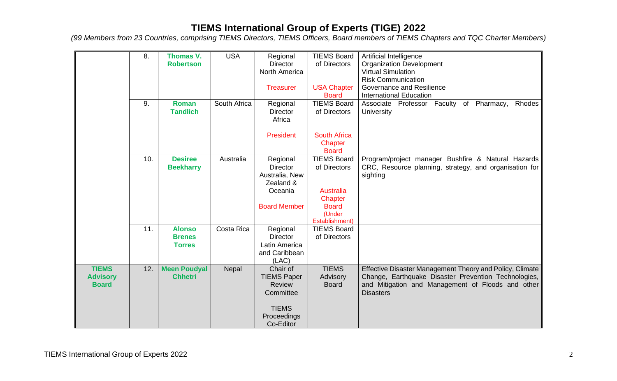|                                 | 8.  | Thomas V.                       | <b>USA</b>   | Regional                                | <b>TIEMS Board</b>                 | Artificial Intelligence                                                                                   |
|---------------------------------|-----|---------------------------------|--------------|-----------------------------------------|------------------------------------|-----------------------------------------------------------------------------------------------------------|
|                                 |     | <b>Robertson</b>                |              | <b>Director</b><br><b>North America</b> | of Directors                       | <b>Organization Development</b><br><b>Virtual Simulation</b>                                              |
|                                 |     |                                 |              |                                         |                                    | <b>Risk Communication</b>                                                                                 |
|                                 |     |                                 |              | <b>Treasurer</b>                        | <b>USA Chapter</b>                 | Governance and Resilience                                                                                 |
|                                 |     |                                 |              |                                         | <b>Board</b>                       | <b>International Education</b>                                                                            |
|                                 | 9.  | <b>Roman</b><br><b>Tandlich</b> | South Africa | Regional<br><b>Director</b>             | <b>TIEMS Board</b><br>of Directors | Associate Professor Faculty of<br>Pharmacy,<br>Rhodes<br><b>University</b>                                |
|                                 |     |                                 |              | Africa                                  |                                    |                                                                                                           |
|                                 |     |                                 |              | <b>President</b>                        | <b>South Africa</b>                |                                                                                                           |
|                                 |     |                                 |              |                                         | Chapter<br><b>Board</b>            |                                                                                                           |
|                                 | 10. | <b>Desiree</b>                  | Australia    | Regional                                | <b>TIEMS Board</b>                 | Program/project manager Bushfire & Natural Hazards                                                        |
|                                 |     | <b>Beekharry</b>                |              | <b>Director</b><br>Australia, New       | of Directors                       | CRC, Resource planning, strategy, and organisation for<br>sighting                                        |
|                                 |     |                                 |              | Zealand &                               |                                    |                                                                                                           |
|                                 |     |                                 |              | Oceania                                 | <b>Australia</b>                   |                                                                                                           |
|                                 |     |                                 |              | <b>Board Member</b>                     | Chapter<br><b>Board</b>            |                                                                                                           |
|                                 |     |                                 |              |                                         | (Under                             |                                                                                                           |
|                                 |     |                                 |              |                                         | Establishment)                     |                                                                                                           |
|                                 | 11. | <b>Alonso</b>                   | Costa Rica   | Regional                                | <b>TIEMS Board</b>                 |                                                                                                           |
|                                 |     | <b>Brenes</b><br><b>Torres</b>  |              | <b>Director</b><br>Latin America        | of Directors                       |                                                                                                           |
|                                 |     |                                 |              | and Caribbean                           |                                    |                                                                                                           |
|                                 |     |                                 |              | (LAC)                                   |                                    |                                                                                                           |
| <b>TIEMS</b>                    | 12. | <b>Meen Poudyal</b>             | Nepal        | Chair of                                | <b>TIEMS</b>                       | Effective Disaster Management Theory and Policy, Climate                                                  |
| <b>Advisory</b><br><b>Board</b> |     | <b>Chhetri</b>                  |              | <b>TIEMS Paper</b><br><b>Review</b>     | Advisory<br><b>Board</b>           | Change, Earthquake Disaster Prevention Technologies,<br>and Mitigation and Management of Floods and other |
|                                 |     |                                 |              | Committee                               |                                    | <b>Disasters</b>                                                                                          |
|                                 |     |                                 |              | <b>TIEMS</b>                            |                                    |                                                                                                           |
|                                 |     |                                 |              | Proceedings                             |                                    |                                                                                                           |
|                                 |     |                                 |              | Co-Editor                               |                                    |                                                                                                           |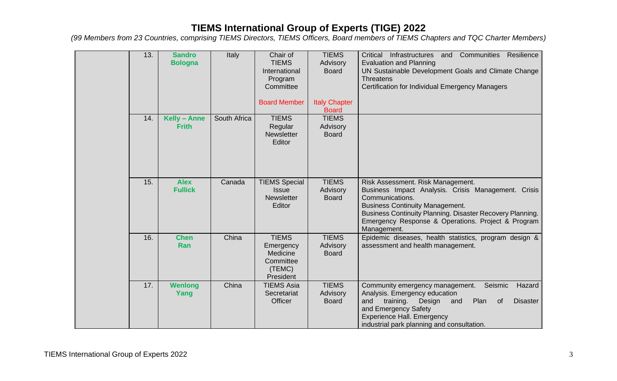| 13. | <b>Sandro</b><br><b>Bologna</b> | Italy        | Chair of<br><b>TIEMS</b><br>International<br>Program<br>Committee         | <b>TIEMS</b><br>Advisory<br><b>Board</b> | Resilience<br>Critical<br>Infrastructures<br>Communities<br>and<br><b>Evaluation and Planning</b><br>UN Sustainable Development Goals and Climate Change<br><b>Threatens</b><br>Certification for Individual Emergency Managers                                                         |
|-----|---------------------------------|--------------|---------------------------------------------------------------------------|------------------------------------------|-----------------------------------------------------------------------------------------------------------------------------------------------------------------------------------------------------------------------------------------------------------------------------------------|
|     |                                 |              | <b>Board Member</b>                                                       | <b>Italy Chapter</b><br><b>Board</b>     |                                                                                                                                                                                                                                                                                         |
| 14. | Kelly - Anne<br><b>Frith</b>    | South Africa | <b>TIEMS</b><br>Regular<br><b>Newsletter</b><br>Editor                    | <b>TIEMS</b><br>Advisory<br><b>Board</b> |                                                                                                                                                                                                                                                                                         |
| 15. | <b>Alex</b><br><b>Fullick</b>   | Canada       | <b>TIEMS Special</b><br><b>Issue</b><br><b>Newsletter</b><br>Editor       | <b>TIEMS</b><br>Advisory<br><b>Board</b> | Risk Assessment. Risk Management.<br>Business Impact Analysis. Crisis Management. Crisis<br>Communications.<br><b>Business Continuity Management.</b><br>Business Continuity Planning. Disaster Recovery Planning.<br>Emergency Response & Operations. Project & Program<br>Management. |
| 16. | <b>Chen</b><br>Ran              | China        | <b>TIEMS</b><br>Emergency<br>Medicine<br>Committee<br>(TEMC)<br>President | <b>TIEMS</b><br>Advisory<br><b>Board</b> | Epidemic diseases, health statistics, program design &<br>assessment and health management.                                                                                                                                                                                             |
| 17. | <b>Wenlong</b><br>Yang          | China        | <b>TIEMS Asia</b><br>Secretariat<br>Officer                               | <b>TIEMS</b><br>Advisory<br><b>Board</b> | Community emergency management.<br>Seismic<br>Hazard<br>Analysis. Emergency education<br>training.<br>Plan<br>and<br>Design<br>and<br><b>of</b><br><b>Disaster</b><br>and Emergency Safety<br><b>Experience Hall. Emergency</b><br>industrial park planning and consultation.           |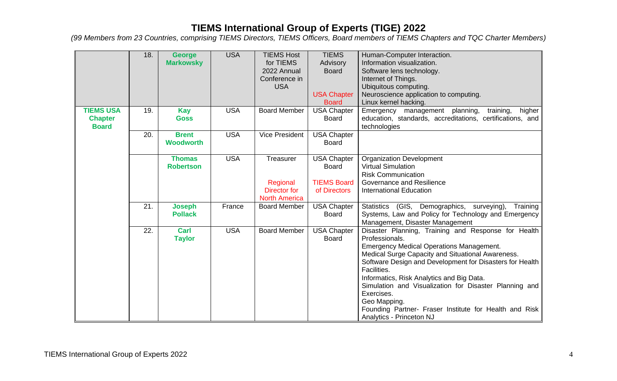|                  | 18. | <b>George</b>    | <b>USA</b> | <b>TIEMS Host</b>     | <b>TIEMS</b>       | Human-Computer Interaction.                                                                          |
|------------------|-----|------------------|------------|-----------------------|--------------------|------------------------------------------------------------------------------------------------------|
|                  |     | <b>Markowsky</b> |            | for TIEMS             | Advisory           | Information visualization.                                                                           |
|                  |     |                  |            | 2022 Annual           | <b>Board</b>       | Software lens technology.                                                                            |
|                  |     |                  |            | Conference in         |                    | Internet of Things.                                                                                  |
|                  |     |                  |            | <b>USA</b>            |                    | Ubiquitous computing.                                                                                |
|                  |     |                  |            |                       | <b>USA Chapter</b> | Neuroscience application to computing.                                                               |
|                  |     |                  |            |                       | <b>Board</b>       | Linux kernel hacking.                                                                                |
| <b>TIEMS USA</b> | 19. | <b>Kay</b>       | <b>USA</b> | <b>Board Member</b>   | <b>USA Chapter</b> | Emergency management planning,<br>training,<br>higher                                                |
| <b>Chapter</b>   |     | <b>Goss</b>      |            |                       | <b>Board</b>       | education, standards, accreditations, certifications, and                                            |
| <b>Board</b>     |     |                  |            |                       |                    | technologies                                                                                         |
|                  | 20. | <b>Brent</b>     | <b>USA</b> | <b>Vice President</b> | <b>USA Chapter</b> |                                                                                                      |
|                  |     | <b>Woodworth</b> |            |                       | <b>Board</b>       |                                                                                                      |
|                  |     |                  |            |                       |                    |                                                                                                      |
|                  |     | <b>Thomas</b>    | <b>USA</b> | Treasurer             | <b>USA Chapter</b> | <b>Organization Development</b>                                                                      |
|                  |     | <b>Robertson</b> |            |                       | <b>Board</b>       | <b>Virtual Simulation</b>                                                                            |
|                  |     |                  |            |                       |                    | <b>Risk Communication</b>                                                                            |
|                  |     |                  |            | Regional              | <b>TIEMS Board</b> | Governance and Resilience                                                                            |
|                  |     |                  |            | <b>Director for</b>   | of Directors       | <b>International Education</b>                                                                       |
|                  |     |                  |            | <b>North America</b>  |                    |                                                                                                      |
|                  | 21. | <b>Joseph</b>    | France     | <b>Board Member</b>   | <b>USA Chapter</b> | Statistics (GIS, Demographics, surveying),<br>Training                                               |
|                  |     | <b>Pollack</b>   |            |                       | <b>Board</b>       | Systems, Law and Policy for Technology and Emergency                                                 |
|                  |     |                  |            |                       |                    | Management, Disaster Management                                                                      |
|                  | 22. | Carl             | <b>USA</b> | <b>Board Member</b>   | <b>USA Chapter</b> | Disaster Planning, Training and Response for Health                                                  |
|                  |     | <b>Taylor</b>    |            |                       | <b>Board</b>       | Professionals.                                                                                       |
|                  |     |                  |            |                       |                    | <b>Emergency Medical Operations Management.</b><br>Medical Surge Capacity and Situational Awareness. |
|                  |     |                  |            |                       |                    | Software Design and Development for Disasters for Health                                             |
|                  |     |                  |            |                       |                    | Facilities.                                                                                          |
|                  |     |                  |            |                       |                    | Informatics, Risk Analytics and Big Data.                                                            |
|                  |     |                  |            |                       |                    | Simulation and Visualization for Disaster Planning and                                               |
|                  |     |                  |            |                       |                    | Exercises.                                                                                           |
|                  |     |                  |            |                       |                    | Geo Mapping.                                                                                         |
|                  |     |                  |            |                       |                    | Founding Partner- Fraser Institute for Health and Risk                                               |
|                  |     |                  |            |                       |                    | Analytics - Princeton NJ                                                                             |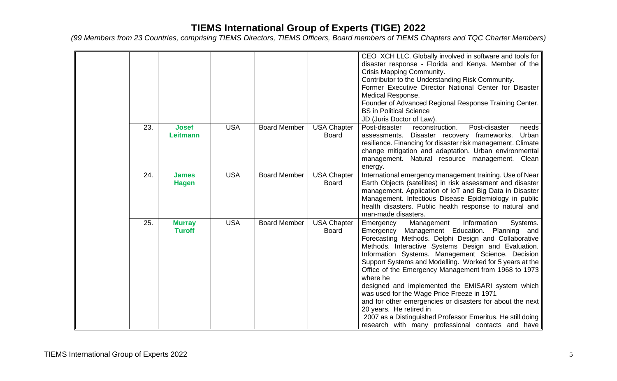|     |                                 |            |                     |                                    | CEO XCH LLC. Globally involved in software and tools for<br>disaster response - Florida and Kenya. Member of the<br>Crisis Mapping Community.<br>Contributor to the Understanding Risk Community.<br>Former Executive Director National Center for Disaster<br>Medical Response.<br>Founder of Advanced Regional Response Training Center.<br><b>BS</b> in Political Science<br>JD (Juris Doctor of Law).                                                                                                                                                                                                                                                                                                                  |
|-----|---------------------------------|------------|---------------------|------------------------------------|----------------------------------------------------------------------------------------------------------------------------------------------------------------------------------------------------------------------------------------------------------------------------------------------------------------------------------------------------------------------------------------------------------------------------------------------------------------------------------------------------------------------------------------------------------------------------------------------------------------------------------------------------------------------------------------------------------------------------|
| 23. | <b>Josef</b><br><b>Leitmann</b> | <b>USA</b> | <b>Board Member</b> | <b>USA Chapter</b><br><b>Board</b> | Post-disaster<br>Post-disaster<br>reconstruction.<br>needs<br>assessments. Disaster recovery frameworks.<br>Urban<br>resilience. Financing for disaster risk management. Climate<br>change mitigation and adaptation. Urban environmental<br>management. Natural resource management. Clean<br>energy.                                                                                                                                                                                                                                                                                                                                                                                                                     |
| 24. | <b>James</b><br><b>Hagen</b>    | <b>USA</b> | <b>Board Member</b> | <b>USA Chapter</b><br><b>Board</b> | International emergency management training. Use of Near<br>Earth Objects (satellites) in risk assessment and disaster<br>management. Application of IoT and Big Data in Disaster<br>Management. Infectious Disease Epidemiology in public<br>health disasters. Public health response to natural and<br>man-made disasters.                                                                                                                                                                                                                                                                                                                                                                                               |
| 25. | <b>Murray</b><br><b>Turoff</b>  | <b>USA</b> | <b>Board Member</b> | <b>USA Chapter</b><br><b>Board</b> | Information<br>Management<br>Systems.<br>Emergency<br>Management Education.<br>Planning and<br>Emergency<br>Forecasting Methods. Delphi Design and Collaborative<br>Methods. Interactive Systems Design and Evaluation.<br>Information Systems. Management Science. Decision<br>Support Systems and Modelling. Worked for 5 years at the<br>Office of the Emergency Management from 1968 to 1973<br>where he<br>designed and implemented the EMISARI system which<br>was used for the Wage Price Freeze in 1971<br>and for other emergencies or disasters for about the next<br>20 years. He retired in<br>2007 as a Distinguished Professor Emeritus. He still doing<br>research with many professional contacts and have |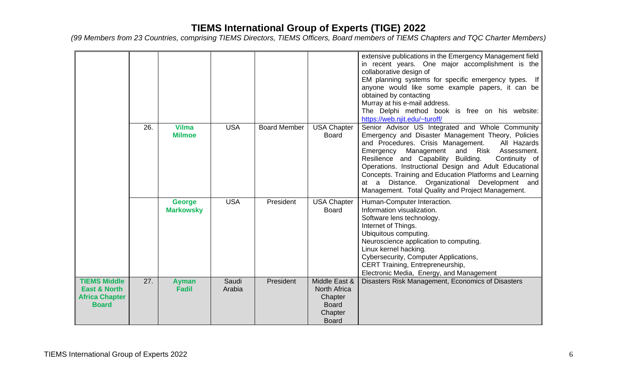|                                                                              |     |                                   |                 |                     |                                                                                            | extensive publications in the Emergency Management field<br>in recent years. One major accomplishment is the<br>collaborative design of<br>EM planning systems for specific emergency types. If<br>anyone would like some example papers, it can be<br>obtained by contacting<br>Murray at his e-mail address.<br>The Delphi method book is free on his website:<br>https://web.njit.edu/~turoff/                                                                                                 |
|------------------------------------------------------------------------------|-----|-----------------------------------|-----------------|---------------------|--------------------------------------------------------------------------------------------|---------------------------------------------------------------------------------------------------------------------------------------------------------------------------------------------------------------------------------------------------------------------------------------------------------------------------------------------------------------------------------------------------------------------------------------------------------------------------------------------------|
|                                                                              | 26. | <b>Vilma</b><br><b>Milmoe</b>     | <b>USA</b>      | <b>Board Member</b> | <b>USA Chapter</b><br><b>Board</b>                                                         | Senior Advisor US Integrated and Whole Community<br>Emergency and Disaster Management Theory, Policies<br>and Procedures. Crisis Management.<br>All Hazards<br>Management and Risk<br>Emergency<br>Assessment.<br>Resilience and Capability Building.<br>Continuity of<br>Operations. Instructional Design and Adult Educational<br>Concepts. Training and Education Platforms and Learning<br>at a Distance. Organizational Development and<br>Management. Total Quality and Project Management. |
|                                                                              |     | <b>George</b><br><b>Markowsky</b> | <b>USA</b>      | President           | <b>USA Chapter</b><br><b>Board</b>                                                         | Human-Computer Interaction.<br>Information visualization.<br>Software lens technology.<br>Internet of Things.<br>Ubiquitous computing.<br>Neuroscience application to computing.<br>Linux kernel hacking.<br>Cybersecurity, Computer Applications,<br>CERT Training, Entrepreneurship,<br>Electronic Media, Energy, and Management                                                                                                                                                                |
| <b>TIEMS Middle</b><br>East & North<br><b>Africa Chapter</b><br><b>Board</b> | 27. | <b>Ayman</b><br><b>Fadil</b>      | Saudi<br>Arabia | President           | Middle East &<br><b>North Africa</b><br>Chapter<br><b>Board</b><br>Chapter<br><b>Board</b> | Disasters Risk Management, Economics of Disasters                                                                                                                                                                                                                                                                                                                                                                                                                                                 |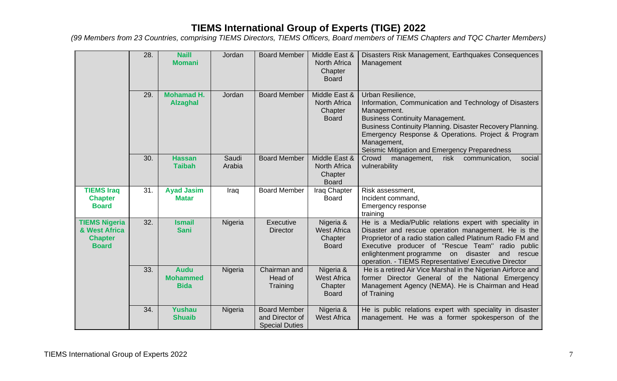|                                                                         | 28. | <b>Naill</b><br><b>Momani</b>                 | Jordan          | <b>Board Member</b>                                             | Middle East &<br><b>North Africa</b><br>Chapter<br><b>Board</b> | Disasters Risk Management, Earthquakes Consequences<br>Management                                                                                                                                                                                                                                                                                     |
|-------------------------------------------------------------------------|-----|-----------------------------------------------|-----------------|-----------------------------------------------------------------|-----------------------------------------------------------------|-------------------------------------------------------------------------------------------------------------------------------------------------------------------------------------------------------------------------------------------------------------------------------------------------------------------------------------------------------|
|                                                                         | 29. | <b>Mohamad H.</b><br><b>Alzaghal</b>          | Jordan          | <b>Board Member</b>                                             | Middle East &<br><b>North Africa</b><br>Chapter<br><b>Board</b> | Urban Resilience,<br>Information, Communication and Technology of Disasters<br>Management.<br><b>Business Continuity Management.</b><br>Business Continuity Planning. Disaster Recovery Planning.<br>Emergency Response & Operations. Project & Program<br>Management,<br>Seismic Mitigation and Emergency Preparedness                               |
|                                                                         | 30. | <b>Hassan</b><br><b>Taibah</b>                | Saudi<br>Arabia | <b>Board Member</b>                                             | Middle East &<br><b>North Africa</b><br>Chapter<br><b>Board</b> | Crowd<br>risk<br>management,<br>communication,<br>social<br>vulnerability                                                                                                                                                                                                                                                                             |
| <b>TIEMS Iraq</b><br><b>Chapter</b><br><b>Board</b>                     | 31. | <b>Ayad Jasim</b><br><b>Matar</b>             | Iraq            | <b>Board Member</b>                                             | Iraq Chapter<br><b>Board</b>                                    | Risk assessment,<br>Incident command,<br><b>Emergency response</b><br>training                                                                                                                                                                                                                                                                        |
| <b>TIEMS Nigeria</b><br>& West Africa<br><b>Chapter</b><br><b>Board</b> | 32. | <b>Ismail</b><br><b>Sani</b>                  | Nigeria         | Executive<br><b>Director</b>                                    | Nigeria &<br><b>West Africa</b><br>Chapter<br><b>Board</b>      | He is a Media/Public relations expert with speciality in<br>Disaster and rescue operation management. He is the<br>Proprietor of a radio station called Platinum Radio FM and<br>Executive producer of "Rescue Team"<br>radio public<br>enlightenment programme on disaster<br>and<br>rescue<br>operation. - TIEMS Representative/ Executive Director |
|                                                                         | 33. | <b>Audu</b><br><b>Mohammed</b><br><b>Bida</b> | Nigeria         | Chairman and<br>Head of<br>Training                             | Nigeria &<br><b>West Africa</b><br>Chapter<br><b>Board</b>      | He is a retired Air Vice Marshal in the Nigerian Airforce and<br>former Director General of the National Emergency<br>Management Agency (NEMA). He is Chairman and Head<br>of Training                                                                                                                                                                |
|                                                                         | 34. | <b>Yushau</b><br><b>Shuaib</b>                | Nigeria         | <b>Board Member</b><br>and Director of<br><b>Special Duties</b> | Nigeria &<br><b>West Africa</b>                                 | He is public relations expert with speciality in disaster<br>management. He was a former spokesperson of the                                                                                                                                                                                                                                          |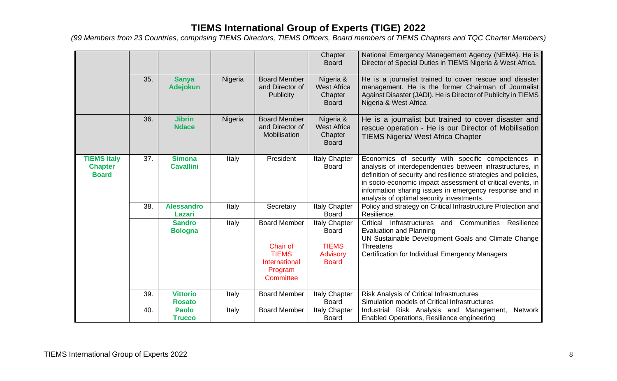|                                                      |     |                                   |         |                                                                                          | Chapter<br><b>Board</b>                                                          | National Emergency Management Agency (NEMA). He is<br>Director of Special Duties in TIEMS Nigeria & West Africa.                                                                                                                                                                                                                                        |
|------------------------------------------------------|-----|-----------------------------------|---------|------------------------------------------------------------------------------------------|----------------------------------------------------------------------------------|---------------------------------------------------------------------------------------------------------------------------------------------------------------------------------------------------------------------------------------------------------------------------------------------------------------------------------------------------------|
|                                                      | 35. | <b>Sanya</b><br><b>Adejokun</b>   | Nigeria | <b>Board Member</b><br>and Director of<br><b>Publicity</b>                               | Nigeria &<br><b>West Africa</b><br>Chapter<br><b>Board</b>                       | He is a journalist trained to cover rescue and disaster<br>management. He is the former Chairman of Journalist<br>Against Disaster (JADI). He is Director of Publicity in TIEMS<br>Nigeria & West Africa                                                                                                                                                |
|                                                      | 36. | <b>Jibrin</b><br><b>Ndace</b>     | Nigeria | <b>Board Member</b><br>and Director of<br>Mobilisation                                   | Nigeria &<br><b>West Africa</b><br>Chapter<br><b>Board</b>                       | He is a journalist but trained to cover disaster and<br>rescue operation - He is our Director of Mobilisation<br><b>TIEMS Nigeria/ West Africa Chapter</b>                                                                                                                                                                                              |
| <b>TIEMS Italy</b><br><b>Chapter</b><br><b>Board</b> | 37. | <b>Simona</b><br><b>Cavallini</b> | Italy   | President                                                                                | Italy Chapter<br><b>Board</b>                                                    | Economics of security with specific competences in<br>analysis of interdependencies between infrastructures, in<br>definition of security and resilience strategies and policies,<br>in socio-economic impact assessment of critical events, in<br>information sharing issues in emergency response and in<br>analysis of optimal security investments. |
|                                                      | 38. | <b>Alessandro</b><br>Lazari       | Italy   | Secretary                                                                                | Italy Chapter<br><b>Board</b>                                                    | Policy and strategy on Critical Infrastructure Protection and<br>Resilience.                                                                                                                                                                                                                                                                            |
|                                                      |     | <b>Sandro</b><br><b>Bologna</b>   | Italy   | <b>Board Member</b><br>Chair of<br><b>TIEMS</b><br>International<br>Program<br>Committee | Italy Chapter<br><b>Board</b><br><b>TIEMS</b><br><b>Advisory</b><br><b>Board</b> | Critical<br>and Communities<br>Resilience<br>Infrastructures<br><b>Evaluation and Planning</b><br>UN Sustainable Development Goals and Climate Change<br><b>Threatens</b><br><b>Certification for Individual Emergency Managers</b>                                                                                                                     |
|                                                      | 39. | <b>Vittorio</b><br><b>Rosato</b>  | Italy   | <b>Board Member</b>                                                                      | Italy Chapter<br><b>Board</b>                                                    | <b>Risk Analysis of Critical Infrastructures</b><br>Simulation models of Critical Infrastructures                                                                                                                                                                                                                                                       |
|                                                      | 40. | <b>Paolo</b><br><b>Trucco</b>     | Italy   | <b>Board Member</b>                                                                      | Italy Chapter<br><b>Board</b>                                                    | Industrial Risk Analysis and Management,<br>Network<br>Enabled Operations, Resilience engineering                                                                                                                                                                                                                                                       |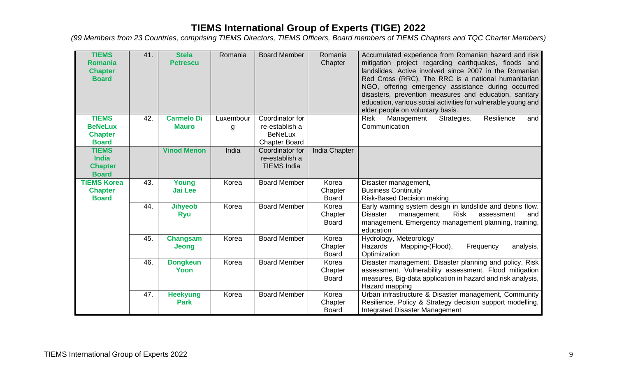| <b>TIEMS</b><br><b>Romania</b><br><b>Chapter</b><br><b>Board</b> | 41. | <b>Stela</b><br><b>Petrescu</b>   | Romania        | <b>Board Member</b>                                                         | Romania<br>Chapter               | Accumulated experience from Romanian hazard and risk<br>mitigation project regarding earthquakes, floods and<br>landslides. Active involved since 2007 in the Romanian<br>Red Cross (RRC). The RRC is a national humanitarian<br>NGO, offering emergency assistance during occurred<br>disasters, prevention measures and education, sanitary<br>education, various social activities for vulnerable young and<br>elder people on voluntary basis. |
|------------------------------------------------------------------|-----|-----------------------------------|----------------|-----------------------------------------------------------------------------|----------------------------------|----------------------------------------------------------------------------------------------------------------------------------------------------------------------------------------------------------------------------------------------------------------------------------------------------------------------------------------------------------------------------------------------------------------------------------------------------|
| <b>TIEMS</b><br><b>BeNeLux</b><br><b>Chapter</b><br><b>Board</b> | 42. | <b>Carmelo Di</b><br><b>Mauro</b> | Luxembour<br>g | Coordinator for<br>re-establish a<br><b>BeNeLux</b><br><b>Chapter Board</b> |                                  | Resilience<br><b>Risk</b><br>Management<br>Strategies,<br>and<br>Communication                                                                                                                                                                                                                                                                                                                                                                     |
| <b>TIEMS</b><br><b>India</b><br><b>Chapter</b><br><b>Board</b>   |     | <b>Vinod Menon</b>                | India          | Coordinator for<br>re-establish a<br><b>TIEMS India</b>                     | <b>India Chapter</b>             |                                                                                                                                                                                                                                                                                                                                                                                                                                                    |
| <b>TIEMS Korea</b><br><b>Chapter</b><br><b>Board</b>             | 43. | Young<br><b>Jai Lee</b>           | Korea          | <b>Board Member</b>                                                         | Korea<br>Chapter<br><b>Board</b> | Disaster management,<br><b>Business Continuity</b><br><b>Risk-Based Decision making</b>                                                                                                                                                                                                                                                                                                                                                            |
|                                                                  | 44. | <b>Jihyeob</b><br><b>Ryu</b>      | Korea          | <b>Board Member</b>                                                         | Korea<br>Chapter<br><b>Board</b> | Early warning system design in landslide and debris flow.<br><b>Disaster</b><br><b>Risk</b><br>management.<br>assessment<br>and<br>management. Emergency management planning, training,<br>education                                                                                                                                                                                                                                               |
|                                                                  | 45. | Changsam<br>Jeong                 | Korea          | <b>Board Member</b>                                                         | Korea<br>Chapter<br><b>Board</b> | Hydrology, Meteorology<br><b>Hazards</b><br>Mapping-(Flood),<br>Frequency<br>analysis,<br>Optimization                                                                                                                                                                                                                                                                                                                                             |
|                                                                  | 46. | <b>Dongkeun</b><br>Yoon           | Korea          | <b>Board Member</b>                                                         | Korea<br>Chapter<br><b>Board</b> | Disaster management, Disaster planning and policy, Risk<br>assessment, Vulnerability assessment, Flood mitigation<br>measures, Big-data application in hazard and risk analysis,<br>Hazard mapping                                                                                                                                                                                                                                                 |
|                                                                  | 47. | <b>Heekyung</b><br><b>Park</b>    | Korea          | <b>Board Member</b>                                                         | Korea<br>Chapter<br><b>Board</b> | Urban infrastructure & Disaster management, Community<br>Resilience, Policy & Strategy decision support modelling,<br>Integrated Disaster Management                                                                                                                                                                                                                                                                                               |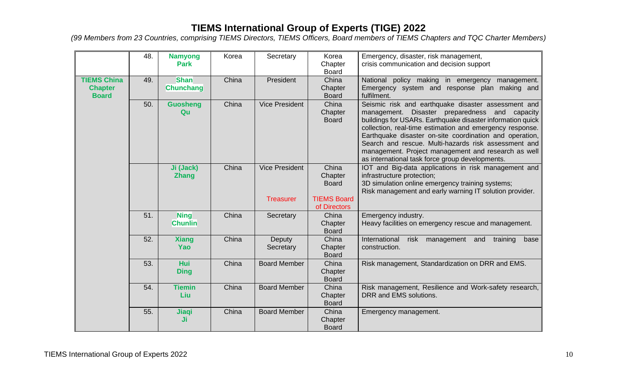|                                                      | 48. | <b>Namyong</b><br><b>Park</b>   | Korea | Secretary                                 | Korea<br>Chapter<br><b>Board</b>                                       | Emergency, disaster, risk management,<br>crisis communication and decision support                                                                                                                                                                                                                                                                                                                                                                              |
|------------------------------------------------------|-----|---------------------------------|-------|-------------------------------------------|------------------------------------------------------------------------|-----------------------------------------------------------------------------------------------------------------------------------------------------------------------------------------------------------------------------------------------------------------------------------------------------------------------------------------------------------------------------------------------------------------------------------------------------------------|
| <b>TIEMS China</b><br><b>Chapter</b><br><b>Board</b> | 49. | <b>Shan</b><br><b>Chunchang</b> | China | President                                 | China<br>Chapter<br><b>Board</b>                                       | National policy making in emergency management.<br>Emergency system and response plan making and<br>fulfilment.                                                                                                                                                                                                                                                                                                                                                 |
|                                                      | 50. | <b>Guosheng</b><br>Qu           | China | <b>Vice President</b>                     | China<br>Chapter<br><b>Board</b>                                       | Seismic risk and earthquake disaster assessment and<br>Disaster preparedness and capacity<br>management.<br>buildings for USARs. Earthquake disaster information quick<br>collection, real-time estimation and emergency response.<br>Earthquake disaster on-site coordination and operation,<br>Search and rescue. Multi-hazards risk assessment and<br>management. Project management and research as well<br>as international task force group developments. |
|                                                      |     | Ji (Jack)<br><b>Zhang</b>       | China | <b>Vice President</b><br><b>Treasurer</b> | China<br>Chapter<br><b>Board</b><br><b>TIEMS Board</b><br>of Directors | IOT and Big-data applications in risk management and<br>infrastructure protection;<br>3D simulation online emergency training systems;<br>Risk management and early warning IT solution provider.                                                                                                                                                                                                                                                               |
|                                                      | 51. | <b>Ning</b><br><b>Chunlin</b>   | China | Secretary                                 | China<br>Chapter<br><b>Board</b>                                       | Emergency industry.<br>Heavy facilities on emergency rescue and management.                                                                                                                                                                                                                                                                                                                                                                                     |
|                                                      | 52. | <b>Xiang</b><br>Yao             | China | Deputy<br>Secretary                       | China<br>Chapter<br><b>Board</b>                                       | International<br>risk<br>management<br>and<br>training<br>base<br>construction.                                                                                                                                                                                                                                                                                                                                                                                 |
|                                                      | 53. | Hui<br><b>Ding</b>              | China | <b>Board Member</b>                       | China<br>Chapter<br><b>Board</b>                                       | Risk management, Standardization on DRR and EMS.                                                                                                                                                                                                                                                                                                                                                                                                                |
|                                                      | 54. | <b>Tiemin</b><br>Liu            | China | <b>Board Member</b>                       | China<br>Chapter<br><b>Board</b>                                       | Risk management, Resilience and Work-safety research,<br>DRR and EMS solutions.                                                                                                                                                                                                                                                                                                                                                                                 |
|                                                      | 55. | Jiaqi<br>Ji                     | China | <b>Board Member</b>                       | China<br>Chapter<br><b>Board</b>                                       | Emergency management.                                                                                                                                                                                                                                                                                                                                                                                                                                           |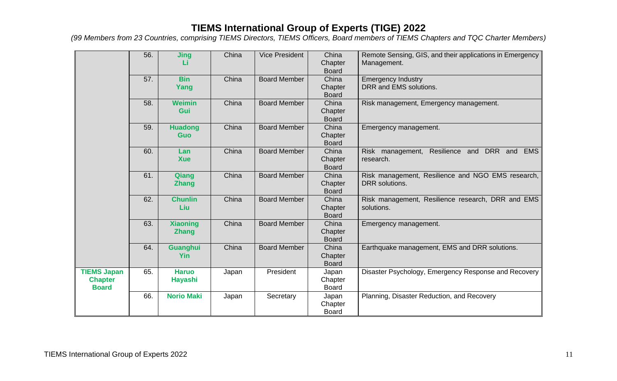|                                                      | 56. | <b>Jing</b>                     | China | <b>Vice President</b> | China<br>Chapter<br><b>Board</b> | Remote Sensing, GIS, and their applications in Emergency<br>Management. |
|------------------------------------------------------|-----|---------------------------------|-------|-----------------------|----------------------------------|-------------------------------------------------------------------------|
|                                                      | 57. | <b>Bin</b><br>Yang              | China | <b>Board Member</b>   | China<br>Chapter<br><b>Board</b> | <b>Emergency Industry</b><br>DRR and EMS solutions.                     |
|                                                      | 58. | <b>Weimin</b><br>Gui            | China | <b>Board Member</b>   | China<br>Chapter<br><b>Board</b> | Risk management, Emergency management.                                  |
|                                                      | 59. | <b>Huadong</b><br><b>Guo</b>    | China | <b>Board Member</b>   | China<br>Chapter<br><b>Board</b> | Emergency management.                                                   |
|                                                      | 60. | Lan<br><b>Xue</b>               | China | <b>Board Member</b>   | China<br>Chapter<br><b>Board</b> | Resilience and DRR and EMS<br>Risk management,<br>research.             |
|                                                      | 61. | Qiang<br><b>Zhang</b>           | China | <b>Board Member</b>   | China<br>Chapter<br><b>Board</b> | Risk management, Resilience and NGO EMS research,<br>DRR solutions.     |
|                                                      | 62. | <b>Chunlin</b><br>Liu           | China | <b>Board Member</b>   | China<br>Chapter<br><b>Board</b> | Risk management, Resilience research, DRR and EMS<br>solutions.         |
|                                                      | 63. | <b>Xiaoning</b><br><b>Zhang</b> | China | <b>Board Member</b>   | China<br>Chapter<br><b>Board</b> | Emergency management.                                                   |
|                                                      | 64. | <b>Guanghui</b><br>Yin          | China | <b>Board Member</b>   | China<br>Chapter<br><b>Board</b> | Earthquake management, EMS and DRR solutions.                           |
| <b>TIEMS Japan</b><br><b>Chapter</b><br><b>Board</b> | 65. | <b>Haruo</b><br><b>Hayashi</b>  | Japan | President             | Japan<br>Chapter<br><b>Board</b> | Disaster Psychology, Emergency Response and Recovery                    |
|                                                      | 66. | <b>Norio Maki</b>               | Japan | Secretary             | Japan<br>Chapter<br><b>Board</b> | Planning, Disaster Reduction, and Recovery                              |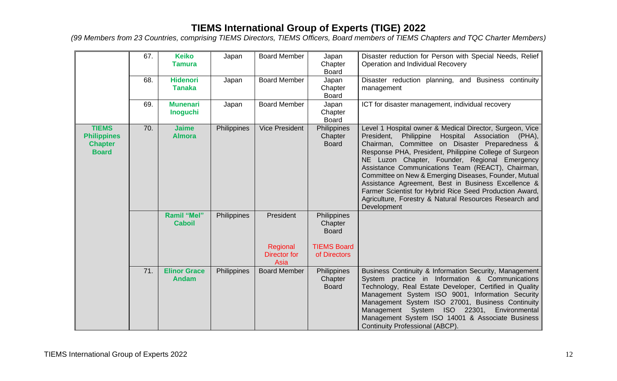|                                                                      | 67. | <b>Keiko</b><br><b>Tamura</b>       | Japan       | <b>Board Member</b>                                  | Japan<br>Chapter<br><b>Board</b>                                             | Disaster reduction for Person with Special Needs, Relief<br>Operation and Individual Recovery                                                                                                                                                                                                                                                                                                                                                                                                                                                                                             |
|----------------------------------------------------------------------|-----|-------------------------------------|-------------|------------------------------------------------------|------------------------------------------------------------------------------|-------------------------------------------------------------------------------------------------------------------------------------------------------------------------------------------------------------------------------------------------------------------------------------------------------------------------------------------------------------------------------------------------------------------------------------------------------------------------------------------------------------------------------------------------------------------------------------------|
|                                                                      | 68. | <b>Hidenori</b><br><b>Tanaka</b>    | Japan       | <b>Board Member</b>                                  | Japan<br>Chapter<br><b>Board</b>                                             | Disaster reduction planning, and Business continuity<br>management                                                                                                                                                                                                                                                                                                                                                                                                                                                                                                                        |
|                                                                      | 69. | <b>Munenari</b><br><b>Inoguchi</b>  | Japan       | <b>Board Member</b>                                  | Japan<br>Chapter<br><b>Board</b>                                             | ICT for disaster management, individual recovery                                                                                                                                                                                                                                                                                                                                                                                                                                                                                                                                          |
| <b>TIEMS</b><br><b>Philippines</b><br><b>Chapter</b><br><b>Board</b> | 70. | <b>Jaime</b><br><b>Almora</b>       | Philippines | <b>Vice President</b>                                | Philippines<br>Chapter<br><b>Board</b>                                       | Level 1 Hospital owner & Medical Director, Surgeon, Vice<br>Philippine<br>Hospital Association (PHA),<br>President,<br>Chairman, Committee on Disaster Preparedness &<br>Response PHA, President, Philippine College of Surgeon<br>NE Luzon Chapter, Founder, Regional Emergency<br>Assistance Communications Team (REACT), Chairman,<br>Committee on New & Emerging Diseases, Founder, Mutual<br>Assistance Agreement, Best in Business Excellence &<br>Farmer Scientist for Hybrid Rice Seed Production Award,<br>Agriculture, Forestry & Natural Resources Research and<br>Development |
|                                                                      |     | Ramil "Mel"<br><b>Caboil</b>        | Philippines | President<br>Regional<br><b>Director for</b><br>Asia | Philippines<br>Chapter<br><b>Board</b><br><b>TIEMS Board</b><br>of Directors |                                                                                                                                                                                                                                                                                                                                                                                                                                                                                                                                                                                           |
|                                                                      | 71. | <b>Elinor Grace</b><br><b>Andam</b> | Philippines | <b>Board Member</b>                                  | Philippines<br>Chapter<br><b>Board</b>                                       | Business Continuity & Information Security, Management<br>System practice in Information & Communications<br>Technology, Real Estate Developer, Certified in Quality<br>Management System ISO 9001, Information Security<br>Management System ISO 27001, Business Continuity<br>Management System ISO 22301, Environmental<br>Management System ISO 14001 & Associate Business<br><b>Continuity Professional (ABCP).</b>                                                                                                                                                                  |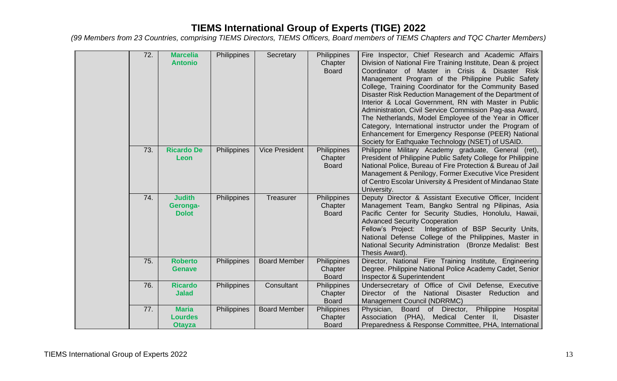| 72. | <b>Marcelia</b><br><b>Antonio</b>               | Philippines | Secretary             | Philippines<br>Chapter<br><b>Board</b> | Fire Inspector, Chief Research and Academic Affairs<br>Division of National Fire Training Institute, Dean & project<br>Coordinator of Master in Crisis & Disaster Risk<br>Management Program of the Philippine Public Safety<br>College, Training Coordinator for the Community Based<br>Disaster Risk Reduction Management of the Department of<br>Interior & Local Government, RN with Master in Public<br>Administration, Civil Service Commission Pag-asa Award,<br>The Netherlands, Model Employee of the Year in Officer<br>Category, International instructor under the Program of<br>Enhancement for Emergency Response (PEER) National<br>Society for Eathquake Technology (NSET) of USAID. |
|-----|-------------------------------------------------|-------------|-----------------------|----------------------------------------|------------------------------------------------------------------------------------------------------------------------------------------------------------------------------------------------------------------------------------------------------------------------------------------------------------------------------------------------------------------------------------------------------------------------------------------------------------------------------------------------------------------------------------------------------------------------------------------------------------------------------------------------------------------------------------------------------|
| 73. | <b>Ricardo De</b><br>Leon                       | Philippines | <b>Vice President</b> | Philippines<br>Chapter<br><b>Board</b> | Philippine Military Academy graduate, General (ret),<br>President of Philippine Public Safety College for Philippine<br>National Police, Bureau of Fire Protection & Bureau of Jail<br>Management & Penilogy, Former Executive Vice President<br>of Centro Escolar University & President of Mindanao State<br>University.                                                                                                                                                                                                                                                                                                                                                                           |
| 74. | <b>Judith</b><br>Geronga-<br><b>Dolot</b>       | Philippines | Treasurer             | Philippines<br>Chapter<br><b>Board</b> | Deputy Director & Assistant Executive Officer, Incident<br>Management Team, Bangko Sentral ng Pilipinas, Asia<br>Pacific Center for Security Studies, Honolulu, Hawaii,<br><b>Advanced Security Cooperation</b><br>Integration of BSP Security Units,<br>Fellow's Project:<br>National Defense College of the Philippines, Master in<br>National Security Administration (Bronze Medalist: Best<br>Thesis Award).                                                                                                                                                                                                                                                                                    |
| 75. | <b>Roberto</b><br><b>Genave</b>                 | Philippines | <b>Board Member</b>   | Philippines<br>Chapter<br><b>Board</b> | Director, National Fire Training Institute, Engineering<br>Degree. Philippine National Police Academy Cadet, Senior<br>Inspector & Superintendent                                                                                                                                                                                                                                                                                                                                                                                                                                                                                                                                                    |
| 76. | <b>Ricardo</b><br><b>Jalad</b>                  | Philippines | Consultant            | Philippines<br>Chapter<br><b>Board</b> | Undersecretary of Office of Civil Defense, Executive<br>Director of the National Disaster Reduction and<br>Management Council (NDRRMC)                                                                                                                                                                                                                                                                                                                                                                                                                                                                                                                                                               |
| 77. | <b>Maria</b><br><b>Lourdes</b><br><b>Otayza</b> | Philippines | <b>Board Member</b>   | Philippines<br>Chapter<br><b>Board</b> | Physician,<br>Board<br>of Director,<br>Philippine<br>Hospital<br>Association (PHA), Medical Center II,<br><b>Disaster</b><br>Preparedness & Response Committee, PHA, International                                                                                                                                                                                                                                                                                                                                                                                                                                                                                                                   |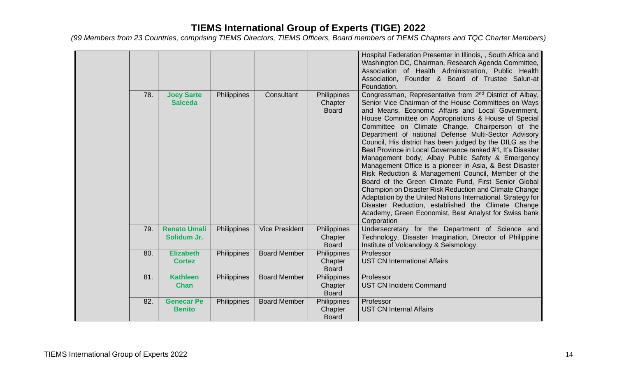|     |                                     |             |                       |                                        | Hospital Federation Presenter in Illinois, , South Africa and<br>Washington DC, Chairman, Research Agenda Committee,<br>Association of Health Administration, Public Health<br>Association, Founder & Board of Trustee Salun-at<br>Foundation.                                                                                                                                                                                                                                                                                                                                                                                                                                                                                                                                                                                                                                                                                                                     |
|-----|-------------------------------------|-------------|-----------------------|----------------------------------------|--------------------------------------------------------------------------------------------------------------------------------------------------------------------------------------------------------------------------------------------------------------------------------------------------------------------------------------------------------------------------------------------------------------------------------------------------------------------------------------------------------------------------------------------------------------------------------------------------------------------------------------------------------------------------------------------------------------------------------------------------------------------------------------------------------------------------------------------------------------------------------------------------------------------------------------------------------------------|
| 78. | <b>Joey Sarte</b><br><b>Salceda</b> | Philippines | Consultant            | Philippines<br>Chapter<br><b>Board</b> | Congressman, Representative from 2 <sup>nd</sup> District of Albay,<br>Senior Vice Chairman of the House Committees on Ways<br>and Means, Economic Affairs and Local Government,<br>House Committee on Appropriations & House of Special<br>Committee on Climate Change, Chairperson of the<br>Department of national Defense Multi-Sector Advisory<br>Council, His district has been judged by the DILG as the<br>Best Province in Local Governance ranked #1, It's Disaster<br>Management body, Albay Public Safety & Emergency<br>Management Office is a pioneer in Asia, & Best Disaster<br>Risk Reduction & Management Council, Member of the<br>Board of the Green Climate Fund, First Senior Global<br>Champion on Disaster Risk Reduction and Climate Change<br>Adaptation by the United Nations International. Strategy for<br>Disaster Reduction, established the Climate Change<br>Academy, Green Economist, Best Analyst for Swiss bank<br>Corporation |
| 79. | <b>Renato Umali</b><br>Solidum Jr.  | Philippines | <b>Vice President</b> | Philippines<br>Chapter<br><b>Board</b> | Undersecretary for the Department of Science and<br>Technology, Disaster Imagination, Director of Philippine<br>Institute of Volcanology & Seismology.                                                                                                                                                                                                                                                                                                                                                                                                                                                                                                                                                                                                                                                                                                                                                                                                             |
| 80. | <b>Elizabeth</b><br><b>Cortez</b>   | Philippines | <b>Board Member</b>   | Philippines<br>Chapter<br><b>Board</b> | Professor<br><b>UST CN International Affairs</b>                                                                                                                                                                                                                                                                                                                                                                                                                                                                                                                                                                                                                                                                                                                                                                                                                                                                                                                   |
| 81. | <b>Kathleen</b><br><b>Chan</b>      | Philippines | <b>Board Member</b>   | Philippines<br>Chapter<br><b>Board</b> | Professor<br><b>UST CN Incident Command</b>                                                                                                                                                                                                                                                                                                                                                                                                                                                                                                                                                                                                                                                                                                                                                                                                                                                                                                                        |
| 82. | <b>Genecar Pe</b><br><b>Benito</b>  | Philippines | <b>Board Member</b>   | Philippines<br>Chapter<br><b>Board</b> | Professor<br><b>UST CN Internal Affairs</b>                                                                                                                                                                                                                                                                                                                                                                                                                                                                                                                                                                                                                                                                                                                                                                                                                                                                                                                        |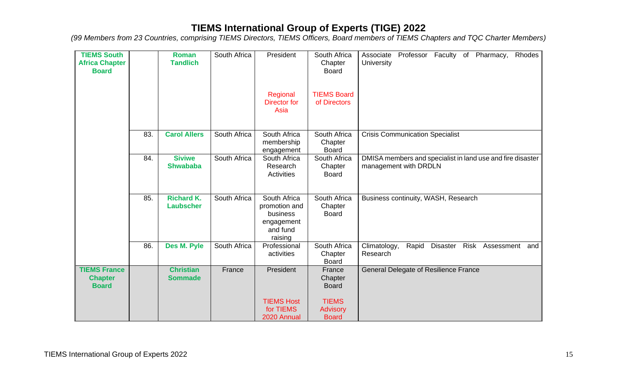| <b>TIEMS South</b><br><b>Africa Chapter</b><br><b>Board</b> |     | Roman<br><b>Tandlich</b>              | South Africa | President                                                                      | South Africa<br>Chapter<br><b>Board</b>         | Professor Faculty of<br>Pharmacy,<br>Rhodes<br>Associate<br>University              |
|-------------------------------------------------------------|-----|---------------------------------------|--------------|--------------------------------------------------------------------------------|-------------------------------------------------|-------------------------------------------------------------------------------------|
|                                                             |     |                                       |              | Regional<br><b>Director for</b><br>Asia                                        | <b>TIEMS Board</b><br>of Directors              |                                                                                     |
|                                                             | 83. | <b>Carol Allers</b>                   | South Africa | South Africa<br>membership<br>engagement                                       | South Africa<br>Chapter<br><b>Board</b>         | <b>Crisis Communication Specialist</b>                                              |
|                                                             | 84. | <b>Siviwe</b><br><b>Shwababa</b>      | South Africa | South Africa<br>Research<br>Activities                                         | South Africa<br>Chapter<br><b>Board</b>         | DMISA members and specialist in land use and fire disaster<br>management with DRDLN |
|                                                             | 85. | <b>Richard K.</b><br><b>Laubscher</b> | South Africa | South Africa<br>promotion and<br>business<br>engagement<br>and fund<br>raising | South Africa<br>Chapter<br><b>Board</b>         | Business continuity, WASH, Research                                                 |
|                                                             | 86. | Des M. Pyle                           | South Africa | Professional<br>activities                                                     | South Africa<br>Chapter<br><b>Board</b>         | Rapid<br><b>Disaster</b><br>Risk<br>Climatology,<br>Assessment and<br>Research      |
| <b>TIEMS France</b><br><b>Chapter</b><br><b>Board</b>       |     | <b>Christian</b><br><b>Sommade</b>    | France       | President                                                                      | France<br>Chapter<br><b>Board</b>               | <b>General Delegate of Resilience France</b>                                        |
|                                                             |     |                                       |              | <b>TIEMS Host</b><br>for TIEMS<br>2020 Annual                                  | <b>TIEMS</b><br><b>Advisory</b><br><b>Board</b> |                                                                                     |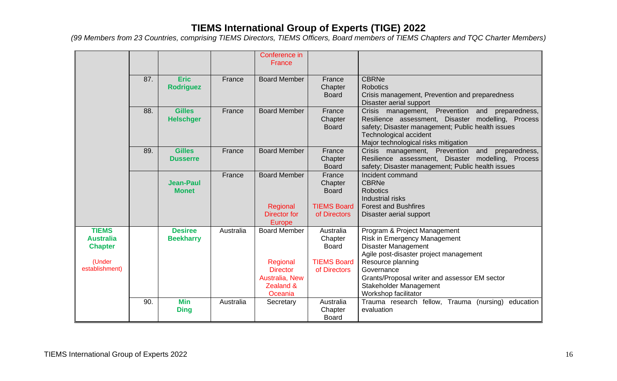|                                                                                |     |                                    |           | Conference in<br>France                                                                      |                                                                            |                                                                                                                                                                                                                                                                            |
|--------------------------------------------------------------------------------|-----|------------------------------------|-----------|----------------------------------------------------------------------------------------------|----------------------------------------------------------------------------|----------------------------------------------------------------------------------------------------------------------------------------------------------------------------------------------------------------------------------------------------------------------------|
|                                                                                | 87. | <b>Eric</b><br><b>Rodriguez</b>    | France    | <b>Board Member</b>                                                                          | France<br>Chapter<br><b>Board</b>                                          | <b>CBRNe</b><br><b>Robotics</b><br>Crisis management, Prevention and preparedness<br>Disaster aerial support                                                                                                                                                               |
|                                                                                | 88. | <b>Gilles</b><br><b>Helschger</b>  | France    | <b>Board Member</b>                                                                          | France<br>Chapter<br><b>Board</b>                                          | Crisis management, Prevention and<br>preparedness,<br>Resilience assessment, Disaster modelling, Process<br>safety; Disaster management; Public health issues<br><b>Technological accident</b><br>Major technological risks mitigation                                     |
|                                                                                | 89. | <b>Gilles</b><br><b>Dusserre</b>   | France    | <b>Board Member</b>                                                                          | France<br>Chapter<br><b>Board</b>                                          | Crisis management, Prevention<br>and<br>preparedness,<br>Resilience assessment, Disaster modelling, Process<br>safety; Disaster management; Public health issues                                                                                                           |
|                                                                                |     | <b>Jean-Paul</b><br><b>Monet</b>   | France    | <b>Board Member</b><br>Regional<br>Director for<br>Europe                                    | France<br>Chapter<br><b>Board</b><br><b>TIEMS Board</b><br>of Directors    | Incident command<br><b>CBRNe</b><br><b>Robotics</b><br>Industrial risks<br><b>Forest and Bushfires</b><br>Disaster aerial support                                                                                                                                          |
| <b>TIEMS</b><br><b>Australia</b><br><b>Chapter</b><br>(Under<br>establishment) |     | <b>Desiree</b><br><b>Beekharry</b> | Australia | <b>Board Member</b><br>Regional<br><b>Director</b><br>Australia, New<br>Zealand &<br>Oceania | Australia<br>Chapter<br><b>Board</b><br><b>TIEMS Board</b><br>of Directors | Program & Project Management<br>Risk in Emergency Management<br><b>Disaster Management</b><br>Agile post-disaster project management<br>Resource planning<br>Governance<br>Grants/Proposal writer and assessor EM sector<br>Stakeholder Management<br>Workshop facilitator |
|                                                                                | 90. | <b>Min</b><br><b>Ding</b>          | Australia | Secretary                                                                                    | Australia<br>Chapter<br><b>Board</b>                                       | Trauma research fellow, Trauma (nursing) education<br>evaluation                                                                                                                                                                                                           |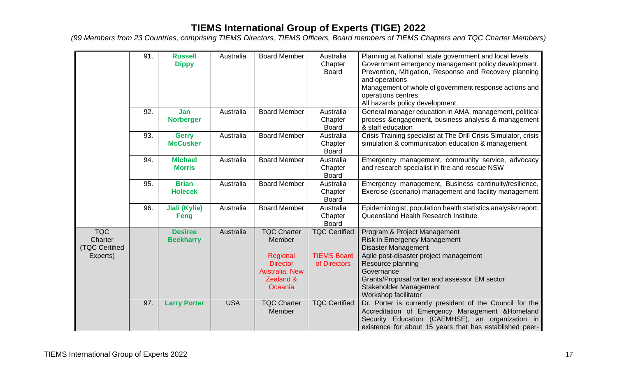|                | 91. | <b>Russell</b>       | Australia  | <b>Board Member</b> | Australia            | Planning at National, state government and local levels.         |
|----------------|-----|----------------------|------------|---------------------|----------------------|------------------------------------------------------------------|
|                |     | <b>Dippy</b>         |            |                     | Chapter              | Government emergency management policy development.              |
|                |     |                      |            |                     | <b>Board</b>         | Prevention, Mitigation, Response and Recovery planning           |
|                |     |                      |            |                     |                      | and operations                                                   |
|                |     |                      |            |                     |                      | Management of whole of government response actions and           |
|                |     |                      |            |                     |                      | operations centres.                                              |
|                |     |                      |            |                     |                      | All hazards policy development.                                  |
|                | 92. | Jan                  | Australia  | <b>Board Member</b> | Australia            | General manager education in AMA, management, political          |
|                |     | <b>Norberger</b>     |            |                     | Chapter              | process & engagement, business analysis & management             |
|                |     |                      |            |                     | <b>Board</b>         | & staff education                                                |
|                | 93. | <b>Gerry</b>         | Australia  | <b>Board Member</b> | Australia            | Crisis Training specialist at The Drill Crisis Simulator, crisis |
|                |     | <b>McCusker</b>      |            |                     | Chapter              | simulation & communication education & management                |
|                |     |                      |            |                     | <b>Board</b>         |                                                                  |
|                | 94. | <b>Michael</b>       | Australia  | <b>Board Member</b> | Australia            | Emergency management, community service, advocacy                |
|                |     | <b>Morris</b>        |            |                     | Chapter              | and research specialist in fire and rescue NSW                   |
|                |     |                      |            |                     | <b>Board</b>         |                                                                  |
|                | 95. | <b>Brian</b>         | Australia  | <b>Board Member</b> | Australia            | Emergency management, Business continuity/resilience,            |
|                |     | <b>Holecek</b>       |            |                     | Chapter              | Exercise (scenario) management and facility management           |
|                |     |                      |            |                     | <b>Board</b>         |                                                                  |
|                | 96. | <b>Jiali (Kylie)</b> | Australia  | <b>Board Member</b> | Australia            | Epidemiologist, population health statistics analysis/report.    |
|                |     | Feng                 |            |                     | Chapter              | Queensland Health Research Institute                             |
|                |     |                      |            |                     | <b>Board</b>         |                                                                  |
| <b>TQC</b>     |     | <b>Desiree</b>       | Australia  | <b>TQC Charter</b>  | <b>TQC Certified</b> | Program & Project Management                                     |
| Charter        |     | <b>Beekharry</b>     |            | Member              |                      | Risk in Emergency Management                                     |
| (TQC Certified |     |                      |            |                     |                      | <b>Disaster Management</b>                                       |
| Experts)       |     |                      |            | Regional            | <b>TIEMS Board</b>   | Agile post-disaster project management                           |
|                |     |                      |            | <b>Director</b>     | of Directors         | Resource planning                                                |
|                |     |                      |            | Australia, New      |                      | Governance                                                       |
|                |     |                      |            | Zealand &           |                      | Grants/Proposal writer and assessor EM sector                    |
|                |     |                      |            | Oceania             |                      | Stakeholder Management                                           |
|                |     |                      |            |                     |                      | Workshop facilitator                                             |
|                | 97. | <b>Larry Porter</b>  | <b>USA</b> | <b>TQC Charter</b>  | <b>TQC Certified</b> | Dr. Porter is currently president of the Council for the         |
|                |     |                      |            | <b>Member</b>       |                      | Accreditation of Emergency Management & Homeland                 |
|                |     |                      |            |                     |                      | Security Education (CAEMHSE), an organization in                 |
|                |     |                      |            |                     |                      | existence for about 15 years that has established peer-          |